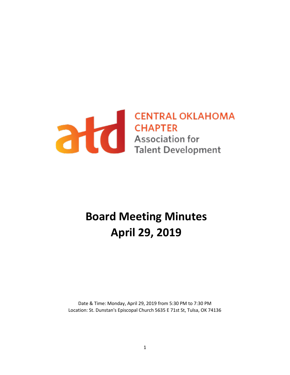

# **Board Meeting Minutes April 29, 2019**

Date & Time: Monday, April 29, 2019 from 5:30 PM to 7:30 PM Location: St. Dunstan's Episcopal Church 5635 E 71st St, Tulsa, OK 74136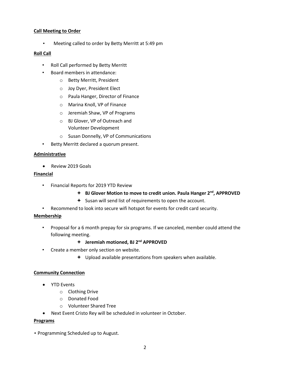# **Call Meeting to Order**

• Meeting called to order by Betty Merritt at 5:49 pm

# **Roll Call**

- Roll Call performed by Betty Merritt
- Board members in attendance:
	- o Betty Merritt, President
	- o Joy Dyer, President Elect
	- o Paula Hanger, Director of Finance
	- o Marina Knoll, VP of Finance
	- o Jeremiah Shaw, VP of Programs
	- o BJ Glover, VP of Outreach and Volunteer Development
	- o Susan Donnelly, VP of Communications
- Betty Merritt declared a quorum present.

# **Administrative**

• Review 2019 Goals

# **Financial**

- Financial Reports for 2019 YTD Review
	- **BJ Glover Motion to move to credit union. Paula Hanger 2nd, APPROVED**
	- $\div$  Susan will send list of requirements to open the account.
- Recommend to look into secure wifi hotspot for events for credit card security.

# **Membership**

• Proposal for a 6 month prepay for six programs. If we canceled, member could attend the following meeting.

# **Jeremiah motioned, BJ 2nd APPROVED**

- Create a member only section on website.
	- $\div$  Upload available presentations from speakers when available.

# **Community Connection**

- YTD Events
	- o Clothing Drive
	- o Donated Food
	- o Volunteer Shared Tree
- Next Event Cristo Rey will be scheduled in volunteer in October.

#### **Programs**

• Programming Scheduled up to August.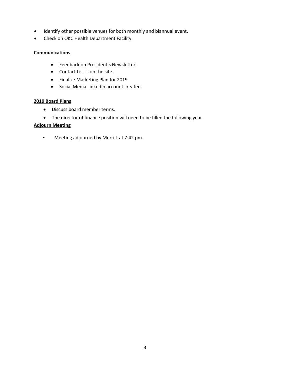- Identify other possible venues for both monthly and biannual event.
- Check on OKC Health Department Facility.

# **Communications**

- Feedback on President's Newsletter.
- Contact List is on the site.
- Finalize Marketing Plan for 2019
- Social Media LinkedIn account created.

# **2019 Board Plans**

- Discuss board member terms.
- The director of finance position will need to be filled the following year.

# **Adjourn Meeting**

• Meeting adjourned by Merritt at 7:42 pm.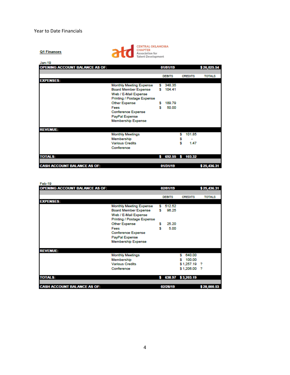Q1 Finances



| <b>OPENING ACCOUNT BALANCE AS OF:</b> |   |                  |        |                |               |
|---------------------------------------|---|------------------|--------|----------------|---------------|
|                                       |   | 01/01/19         |        |                | \$26,025.54   |
|                                       |   |                  |        |                |               |
|                                       |   | <b>DEBITS</b>    |        | <b>CREDITS</b> | <b>TOTALS</b> |
| <b>EXPENSES:</b>                      |   |                  |        |                |               |
| <b>Monthly Meeting Expense</b>        | s | 348.35           |        |                |               |
| <b>Board Member Expense</b>           | s | 104.41           |        |                |               |
| Web / E-Mail Expense                  |   |                  |        |                |               |
| Printing / Postage Expense            |   |                  |        |                |               |
| <b>Other Expense</b>                  | s | 189.79           |        |                |               |
| Fees                                  | s | 50.00            |        |                |               |
| <b>Conference Expense</b>             |   |                  |        |                |               |
| PayPal Expense                        |   |                  |        |                |               |
| <b>Membership Expense</b>             |   |                  |        |                |               |
| <b>REVENUE:</b>                       |   |                  |        |                |               |
| <b>Monthly Meetings</b>               |   |                  | s      | 101.85         |               |
| Membership                            |   |                  |        |                |               |
| <b>Various Credits</b>                |   |                  | s<br>s | 1.47           |               |
| Conference                            |   |                  |        |                |               |
|                                       |   |                  |        |                |               |
| <b>TOTALS:</b>                        | s | 692.55 \$ 103.32 |        |                |               |
|                                       |   |                  |        |                |               |
| <b>CASH ACCOUNT BALANCE AS OF:</b>    |   | 01/31/19         |        |                | \$25,436.31   |

| Feb-19                                |                                   |    |               |                   |               |
|---------------------------------------|-----------------------------------|----|---------------|-------------------|---------------|
| <b>OPENING ACCOUNT BALANCE AS OF:</b> |                                   |    | 02/01/19      |                   | \$25,436.31   |
|                                       |                                   |    |               |                   |               |
|                                       |                                   |    | <b>DEBITS</b> | <b>CREDITS</b>    | <b>TOTALS</b> |
| <b>EXPENSES:</b>                      |                                   |    |               |                   |               |
|                                       | <b>Monthly Meeting Expense</b>    | s. | 512.52        |                   |               |
|                                       | <b>Board Member Expense</b>       | s  | 96.25         |                   |               |
|                                       | Web / E-Mail Expense              |    |               |                   |               |
|                                       | <b>Printing / Postage Expense</b> |    |               |                   |               |
|                                       | <b>Other Expense</b>              | s  | 25.20         |                   |               |
|                                       | Fees                              | s  | 5.00          |                   |               |
|                                       | <b>Conference Expense</b>         |    |               |                   |               |
|                                       | PayPal Expense                    |    |               |                   |               |
|                                       | <b>Membership Expense</b>         |    |               |                   |               |
|                                       |                                   |    |               |                   |               |
| <b>REVENUE:</b>                       |                                   |    |               |                   |               |
|                                       | <b>Monthly Meetings</b>           |    |               | 640.00            |               |
|                                       | Membership                        |    |               | 100.00<br>s       |               |
|                                       | <b>Various Credits</b>            |    |               | $$1,257.19$ ?     |               |
|                                       | Conference                        |    |               | \$1,206.00 ?      |               |
|                                       |                                   |    |               |                   |               |
| <b>TOTALS:</b>                        |                                   | s  |               | 638.97 \$3,203.19 |               |
|                                       |                                   |    |               |                   |               |
|                                       |                                   |    |               |                   |               |
| <b>CASH ACCOUNT BALANCE AS OF:</b>    |                                   |    | 02/28/19      |                   | \$28,000.53   |